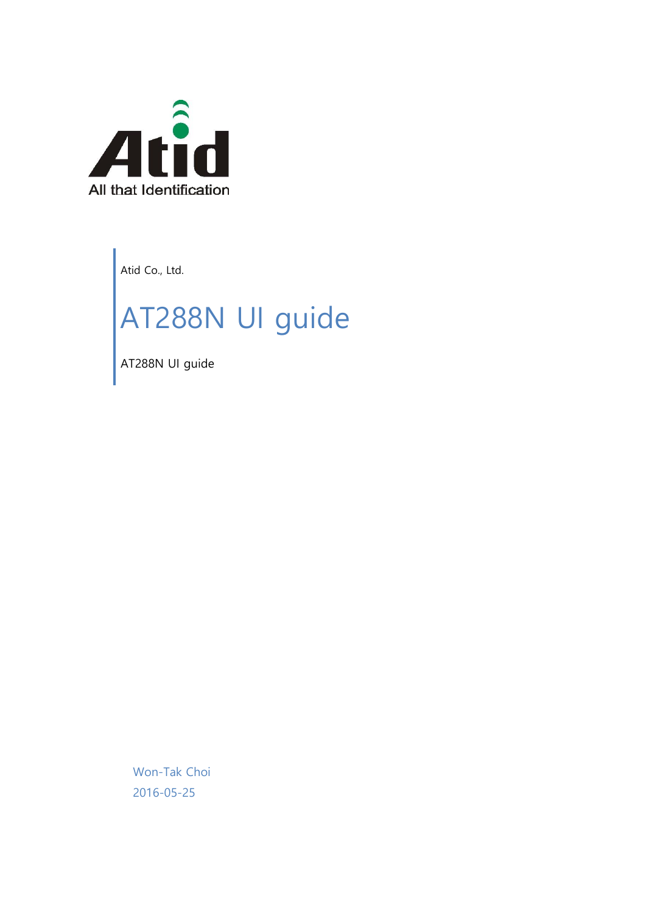

Atid Co., Ltd.

# AT288N UI guide

AT288N UI guide

Won-Tak Choi 2016-05-25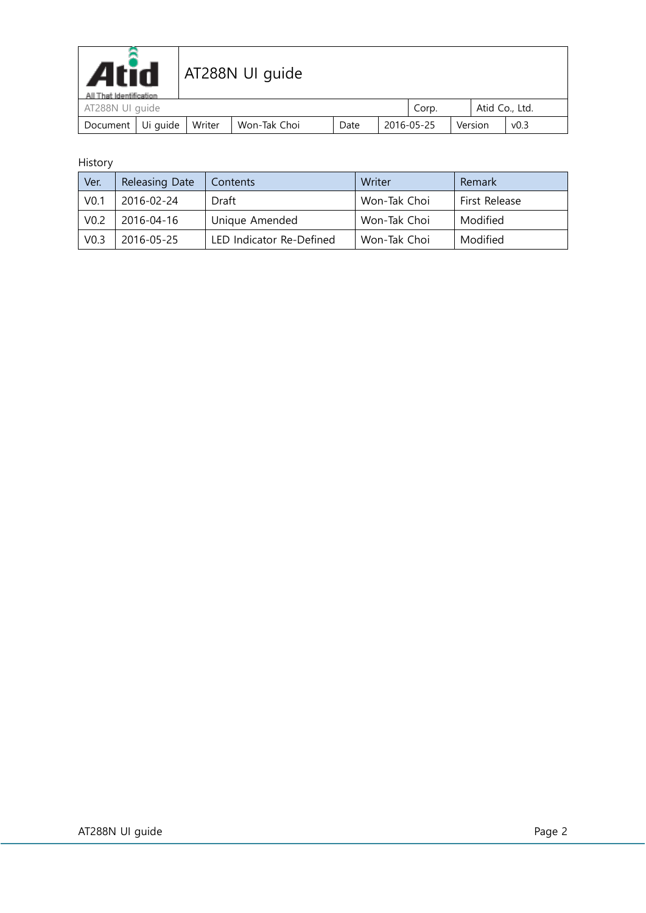| <b>Atid</b><br>AT288N UI guide<br>All That Identification |          |        |              |      |            |       |         |                  |  |
|-----------------------------------------------------------|----------|--------|--------------|------|------------|-------|---------|------------------|--|
| AT288N UI guide                                           |          |        |              |      |            | Corp. |         | Atid Co., Ltd.   |  |
| Document                                                  | Ui guide | Writer | Won-Tak Choi | Date | 2016-05-25 |       | Version | v <sub>0.3</sub> |  |

#### History

| Ver.             | Releasing Date | Contents                 | Writer       | Remark        |
|------------------|----------------|--------------------------|--------------|---------------|
| V <sub>0.1</sub> | 2016-02-24     | Draft                    | Won-Tak Choi | First Release |
| V <sub>0.2</sub> | 2016-04-16     | Unique Amended           | Won-Tak Choi | Modified      |
| V <sub>0.3</sub> | 2016-05-25     | LED Indicator Re-Defined | Won-Tak Choi | Modified      |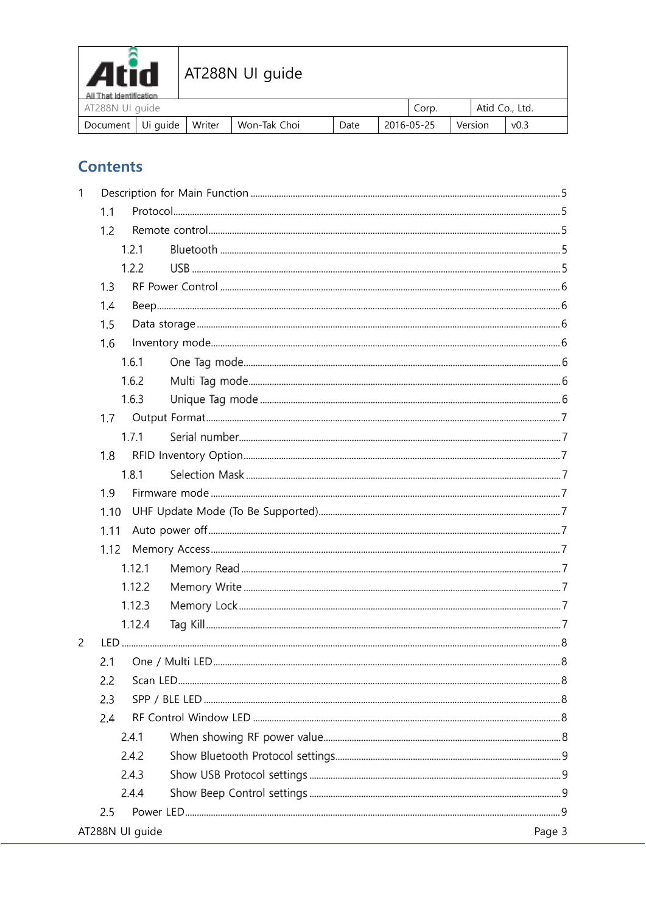

| - All That Identification<br>AT288N UI quide |        |              |      | Corp.      | Atid Co., Ltd. |                  |  |
|----------------------------------------------|--------|--------------|------|------------|----------------|------------------|--|
| Document   Ui guide                          | Writer | Won-Tak Choi | Date | 2016-05-25 | Version        | v <sub>0.3</sub> |  |

# **Contents**

| 1              |      |                 |        |
|----------------|------|-----------------|--------|
|                | 1.1  |                 |        |
|                | 1.2  |                 |        |
|                |      | 1.2.1           |        |
|                |      | 1.2.2           |        |
|                | 1.3  |                 |        |
|                | 1.4  |                 |        |
|                | 1.5  |                 |        |
|                | 1.6  |                 |        |
|                |      | 1.6.1           |        |
|                |      | 1.6.2           |        |
|                |      | 1.6.3           |        |
|                |      |                 |        |
|                |      | 1.7.1           |        |
|                | 1.8  |                 |        |
|                |      | 1.8.1           |        |
|                | 1.9  |                 |        |
|                | 1.10 |                 |        |
|                | 1.11 |                 |        |
|                | 1.12 |                 |        |
|                |      | 1.12.1          |        |
|                |      | 1.12.2          |        |
|                |      | 1.12.3          |        |
|                |      | 1.12.4          |        |
| $\overline{c}$ |      |                 |        |
|                | 2.1  |                 |        |
|                | 2.2  |                 |        |
|                | 2.3  |                 |        |
|                | 2.4  |                 |        |
|                |      | 2.4.1           |        |
|                |      | 2.4.2           |        |
|                |      | 2.4.3           |        |
|                |      | 2.4.4           |        |
|                | 2.5  |                 |        |
|                |      | AT288N UI guide | Page 3 |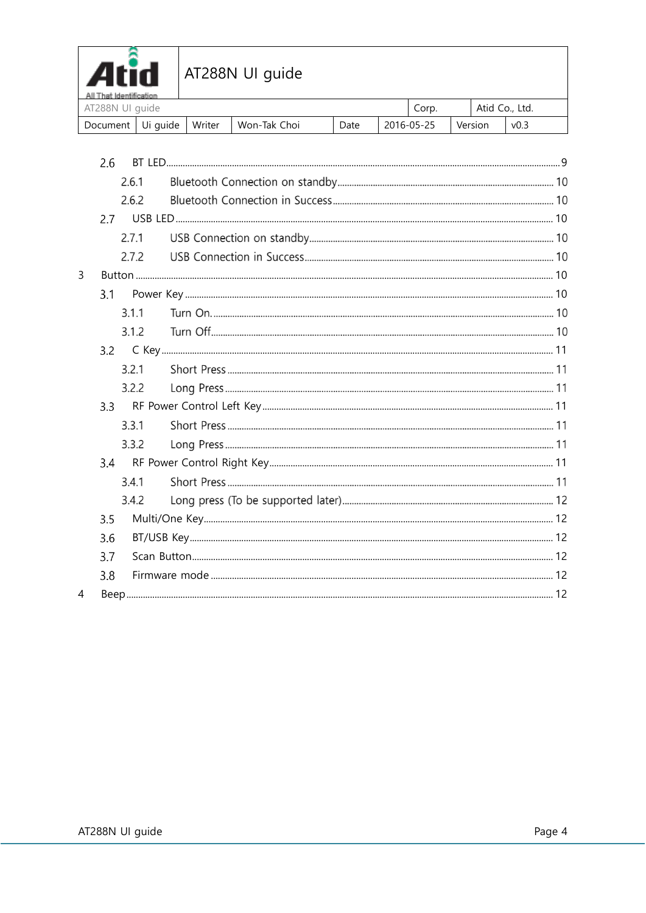

| АШ ГЛЯЕ ЮМПЕШСЯЦОМ<br>AT288N UI guide |        |                |      | Corp.      | Atid Co., Ltd. |      |  |
|---------------------------------------|--------|----------------|------|------------|----------------|------|--|
| Document   Ui guide                   | Writer | l Won-Tak Choi | Date | 2016-05-25 | Version        | v0.3 |  |

|   | 2.6 |       |  |
|---|-----|-------|--|
|   |     | 2.6.1 |  |
|   |     | 2.6.2 |  |
|   | 2.7 |       |  |
|   |     | 2.7.1 |  |
|   |     | 2.7.2 |  |
| 3 |     |       |  |
|   | 3.1 |       |  |
|   |     | 3.1.1 |  |
|   |     | 3.1.2 |  |
|   | 3.2 |       |  |
|   |     | 3.2.1 |  |
|   |     | 3.2.2 |  |
|   |     |       |  |
|   |     | 3.3.1 |  |
|   |     | 3.3.2 |  |
|   |     |       |  |
|   |     | 3.4.1 |  |
|   |     | 3.4.2 |  |
|   | 3.5 |       |  |
|   | 3.6 |       |  |
|   | 3.7 |       |  |
|   | 3.8 |       |  |
| 4 |     |       |  |
|   |     |       |  |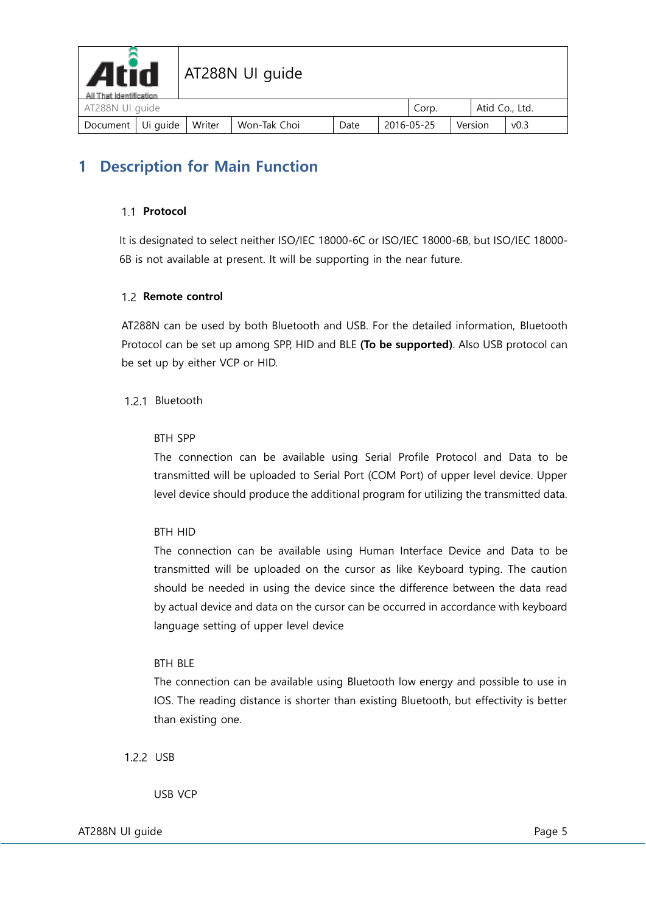

# <span id="page-4-1"></span><span id="page-4-0"></span>**1 Description for Main Function**

#### 1.1 Protocol

It is designated to select neither ISO/IEC 18000-6C or ISO/IEC 18000-6B, but ISO/IEC 18000- 6B is not available at present. It will be supporting in the near future.

#### <span id="page-4-2"></span>1.2 Remote control

AT288N can be used by both Bluetooth and USB. For the detailed information, Bluetooth Protocol can be set up among SPP, HID and BLE **(To be supported)**. Also USB protocol can be set up by either VCP or HID.

#### 1.2.1 Bluetooth

#### BTH SPP

The connection can be available using Serial Profile Protocol and Data to be transmitted will be uploaded to Serial Port (COM Port) of upper level device. Upper level device should produce the additional program for utilizing the transmitted data.

#### BTH HID

The connection can be available using Human Interface Device and Data to be transmitted will be uploaded on the cursor as like Keyboard typing. The caution should be needed in using the device since the difference between the data read by actual device and data on the cursor can be occurred in accordance with keyboard language setting of upper level device

#### BTH BLE

The connection can be available using Bluetooth low energy and possible to use in IOS. The reading distance is shorter than existing Bluetooth, but effectivity is better than existing one.

#### 1.2.2 USB

USB VCP

AT288N UI guide **Page 5** and the Page 5 and the Page 5 and the Page 5 and the Page 5 and the Page 5 and the Page 5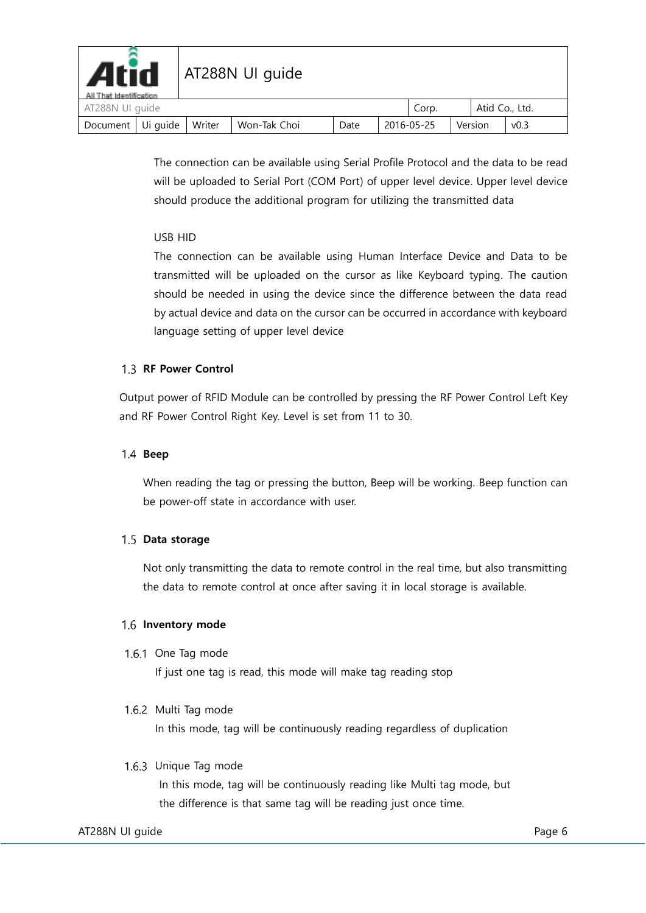| <b>Atid</b><br>All That Identification |        | AT288N UI guide |      |                       |       |  |                |  |
|----------------------------------------|--------|-----------------|------|-----------------------|-------|--|----------------|--|
| AT288N UI guide                        |        |                 |      |                       | Corp. |  | Atid Co., Ltd. |  |
| Document Ui guide                      | Writer | Won-Tak Choi    | Date | 2016-05-25<br>Version |       |  | v0.3           |  |

The connection can be available using Serial Profile Protocol and the data to be read will be uploaded to Serial Port (COM Port) of upper level device. Upper level device should produce the additional program for utilizing the transmitted data

#### USB HID

The connection can be available using Human Interface Device and Data to be transmitted will be uploaded on the cursor as like Keyboard typing. The caution should be needed in using the device since the difference between the data read by actual device and data on the cursor can be occurred in accordance with keyboard language setting of upper level device

#### <span id="page-5-0"></span>1.3 RF Power Control

Output power of RFID Module can be controlled by pressing the RF Power Control Left Key and RF Power Control Right Key. Level is set from 11 to 30.

#### <span id="page-5-1"></span>**Beep**

When reading the tag or pressing the button, Beep will be working. Beep function can be power-off state in accordance with user.

#### <span id="page-5-2"></span>1.5 Data storage

Not only transmitting the data to remote control in the real time, but also transmitting the data to remote control at once after saving it in local storage is available.

#### <span id="page-5-3"></span>**1.6 Inventory mode**

1.6.1 One Tag mode

If just one tag is read, this mode will make tag reading stop

#### 1.6.2 Multi Tag mode

In this mode, tag will be continuously reading regardless of duplication

#### 1.6.3 Unique Tag mode

In this mode, tag will be continuously reading like Multi tag mode, but the difference is that same tag will be reading just once time.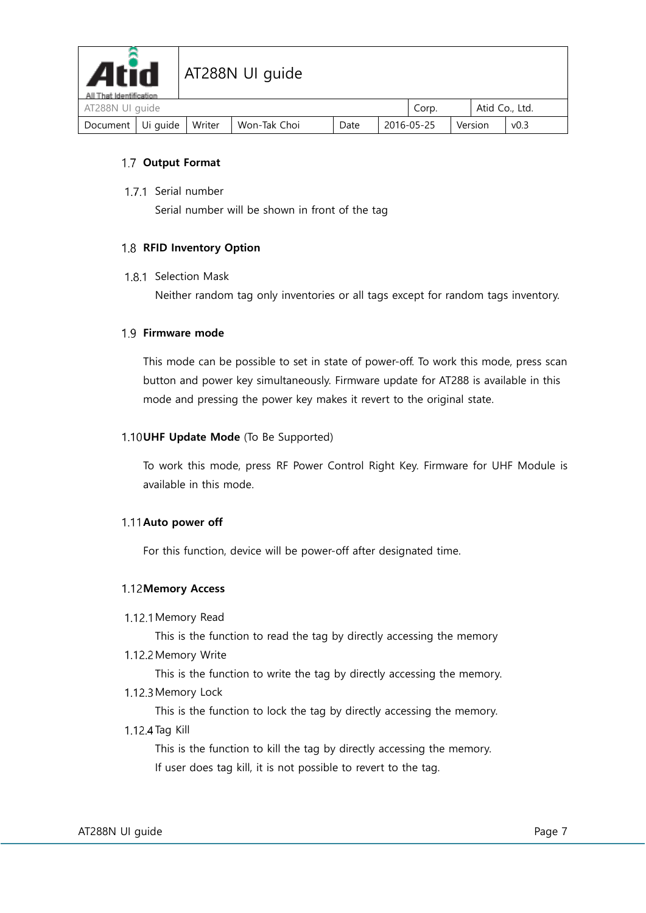

| AT288N UI guide              |  |              |      |            | Corp. | Atid Co., Ltd. |                  |
|------------------------------|--|--------------|------|------------|-------|----------------|------------------|
| Document   Ui guide   Writer |  | Won-Tak Choi | Date | 2016-05-25 |       | Version        | v <sub>0.3</sub> |

#### <span id="page-6-0"></span>**Output Format**

1.7.1 Serial number

Serial number will be shown in front of the tag

#### <span id="page-6-1"></span>1.8 RFID Inventory Option

#### 1.8.1 Selection Mask

Neither random tag only inventories or all tags except for random tags inventory.

#### <span id="page-6-2"></span>**Firmware mode**

This mode can be possible to set in state of power-off. To work this mode, press scan button and power key simultaneously. Firmware update for AT288 is available in this mode and pressing the power key makes it revert to the original state.

#### <span id="page-6-3"></span>1.10 UHF Update Mode (To Be Supported)

To work this mode, press RF Power Control Right Key. Firmware for UHF Module is available in this mode.

#### <span id="page-6-4"></span>1.11 Auto power off

For this function, device will be power-off after designated time.

#### <span id="page-6-5"></span>**1.12 Memory Access**

1.12.1 Memory Read

This is the function to read the tag by directly accessing the memory

1.12.2 Memory Write

This is the function to write the tag by directly accessing the memory.

1.12.3 Memory Lock

This is the function to lock the tag by directly accessing the memory.

1.12.4 Tag Kill

This is the function to kill the tag by directly accessing the memory. If user does tag kill, it is not possible to revert to the tag.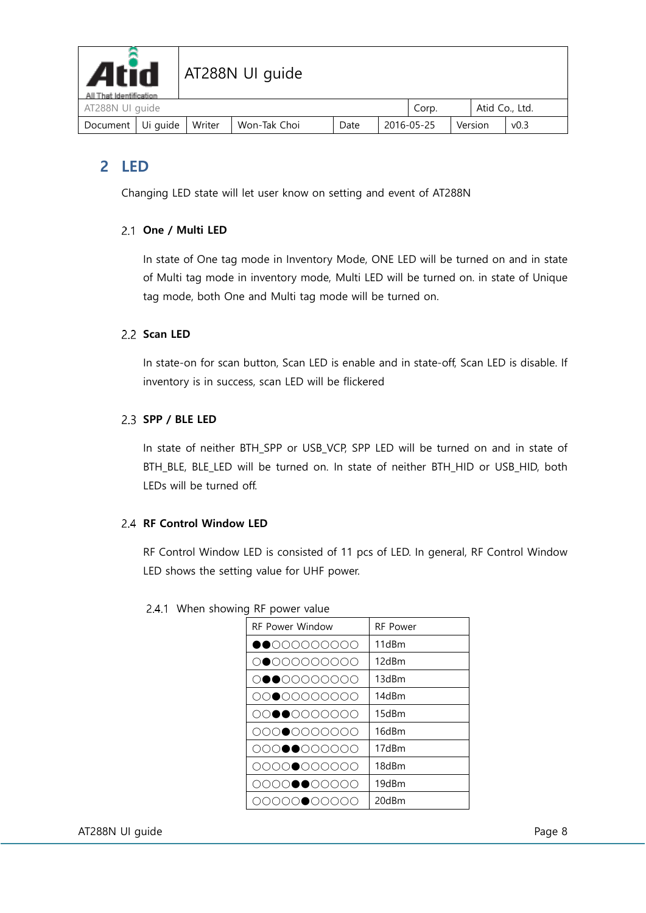

| AT288N UI guide              |  |              |      |            | Corp. | Atid Co., Ltd. |                  |  |
|------------------------------|--|--------------|------|------------|-------|----------------|------------------|--|
| Document   Ui guide   Writer |  | Won-Tak Choi | Date | 2016-05-25 |       | Version        | v <sub>0.3</sub> |  |

# <span id="page-7-0"></span>**2 LED**

Changing LED state will let user know on setting and event of AT288N

#### <span id="page-7-1"></span>**One / Multi LED**

In state of One tag mode in Inventory Mode, ONE LED will be turned on and in state of Multi tag mode in inventory mode, Multi LED will be turned on. in state of Unique tag mode, both One and Multi tag mode will be turned on.

#### <span id="page-7-2"></span>2.2 Scan LED

In state-on for scan button, Scan LED is enable and in state-off, Scan LED is disable. If inventory is in success, scan LED will be flickered

#### <span id="page-7-3"></span>**SPP / BLE LED**

In state of neither BTH\_SPP or USB\_VCP, SPP LED will be turned on and in state of BTH\_BLE, BLE\_LED will be turned on. In state of neither BTH\_HID or USB\_HID, both LEDs will be turned off.

#### <span id="page-7-4"></span>**RF Control Window LED**

RF Control Window LED is consisted of 11 pcs of LED. In general, RF Control Window LED shows the setting value for UHF power.

| <b>RF Power Window</b> | <b>RF Power</b> |
|------------------------|-----------------|
| $\bullet$ 000000000    | 11dBm           |
| 0000000000             | 12dBm           |
| 0000000000             | 13dBm           |
| 0000000000             | 14dBm           |
| 0000000000             | 15dBm           |
| 0000000000             | 16dBm           |
| 0000000000             | 17dBm           |
| 0000000000             | 18dBm           |
| 0000●●00000            | 19dBm           |
| ●○○○<br>000            | 20dBm           |

#### 2.4.1 When showing RF power value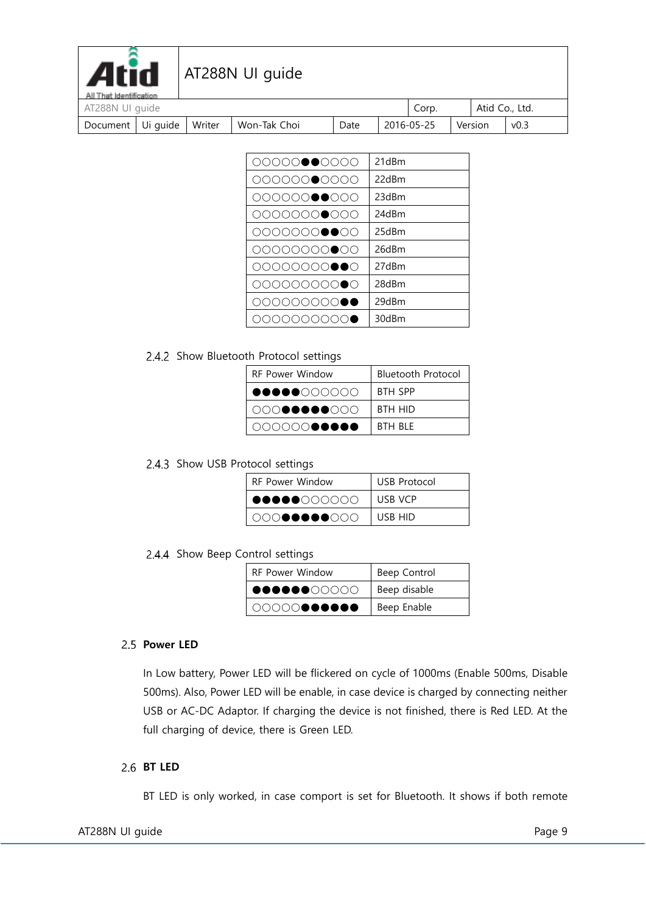| <b>Atid</b><br>All That Identification |          |        | AT288N UI guide |      |            |       |                |      |
|----------------------------------------|----------|--------|-----------------|------|------------|-------|----------------|------|
| AT288N UI guide                        |          |        |                 |      |            | Corp. | Atid Co., Ltd. |      |
| Document                               | Ui guide | Writer | Won-Tak Choi    | Date | 2016-05-25 |       | Version        | v0.3 |

| 00000000000 | 21dBm |
|-------------|-------|
| 00000000000 | 22dBm |
| 00000000000 | 23dBm |
| 00000000000 | 24dBm |
| 00000000000 | 25dBm |
| 00000000000 | 26dBm |
| 00000000●●0 | 27dBm |
| 0000000000  | 28dBm |
| 000000000●● | 29dBm |
| 0000000000  | 30dBm |
|             |       |

#### 2.4.2 Show Bluetooth Protocol settings

| <b>RF Power Window</b> | <b>Bluetooth Protocol</b> |  |  |  |  |
|------------------------|---------------------------|--|--|--|--|
|                        | <b>BTH SPP</b>            |  |  |  |  |
| 00000000000            | <b>BTH HID</b>            |  |  |  |  |
| 000000●●●●●            | RTH RIF                   |  |  |  |  |

#### 2.4.3 Show USB Protocol settings

| <b>RF Power Window</b> | USB Protocol |  |  |  |  |
|------------------------|--------------|--|--|--|--|
| <b></b> 00000000       | USB VCP      |  |  |  |  |
| 00000000000            | USB HID      |  |  |  |  |

#### 2.4.4 Show Beep Control settings

| <b>RF Power Window</b> | Beep Control |
|------------------------|--------------|
| 00000000000            | Beep disable |
| 00000000000            | Beep Enable  |

#### <span id="page-8-0"></span>2.5 **Power LED**

In Low battery, Power LED will be flickered on cycle of 1000ms (Enable 500ms, Disable 500ms). Also, Power LED will be enable, in case device is charged by connecting neither USB or AC-DC Adaptor. If charging the device is not finished, there is Red LED. At the full charging of device, there is Green LED.

#### <span id="page-8-1"></span>**BT LED**

BT LED is only worked, in case comport is set for Bluetooth. It shows if both remote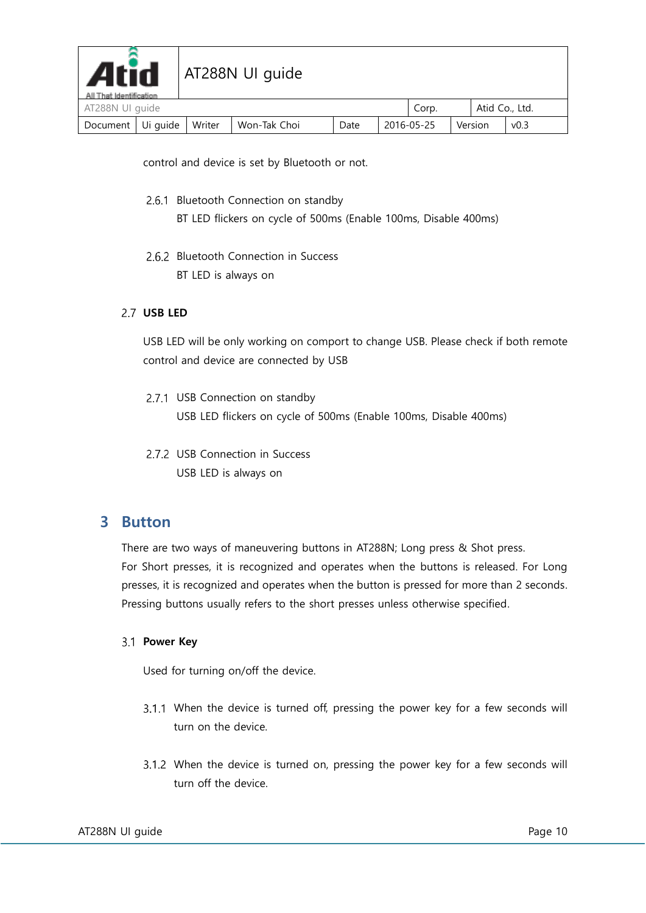| <b>Atid</b><br>AT288N UI quide<br>All That Identification |          |        |              |      |  |            |                |      |
|-----------------------------------------------------------|----------|--------|--------------|------|--|------------|----------------|------|
| AT288N UI quide                                           |          |        |              |      |  | Corp.      | Atid Co., Ltd. |      |
| Document                                                  | Ui guide | Writer | Won-Tak Choi | Date |  | 2016-05-25 | Version        | v0.3 |

control and device is set by Bluetooth or not.

- 2.6.1 Bluetooth Connection on standby
	- BT LED flickers on cycle of 500ms (Enable 100ms, Disable 400ms)
- 2.6.2 Bluetooth Connection in Success BT LED is always on

#### <span id="page-9-0"></span>**USB LED**

USB LED will be only working on comport to change USB. Please check if both remote control and device are connected by USB

- 2.7.1 USB Connection on standby USB LED flickers on cycle of 500ms (Enable 100ms, Disable 400ms)
- 2.7.2 USB Connection in Success USB LED is always on

## <span id="page-9-1"></span>**3 Button**

There are two ways of maneuvering buttons in AT288N; Long press & Shot press. For Short presses, it is recognized and operates when the buttons is released. For Long presses, it is recognized and operates when the button is pressed for more than 2 seconds. Pressing buttons usually refers to the short presses unless otherwise specified.

#### <span id="page-9-2"></span>**Power Key**

Used for turning on/off the device.

- When the device is turned off, pressing the power key for a few seconds will turn on the device.
- When the device is turned on, pressing the power key for a few seconds will turn off the device.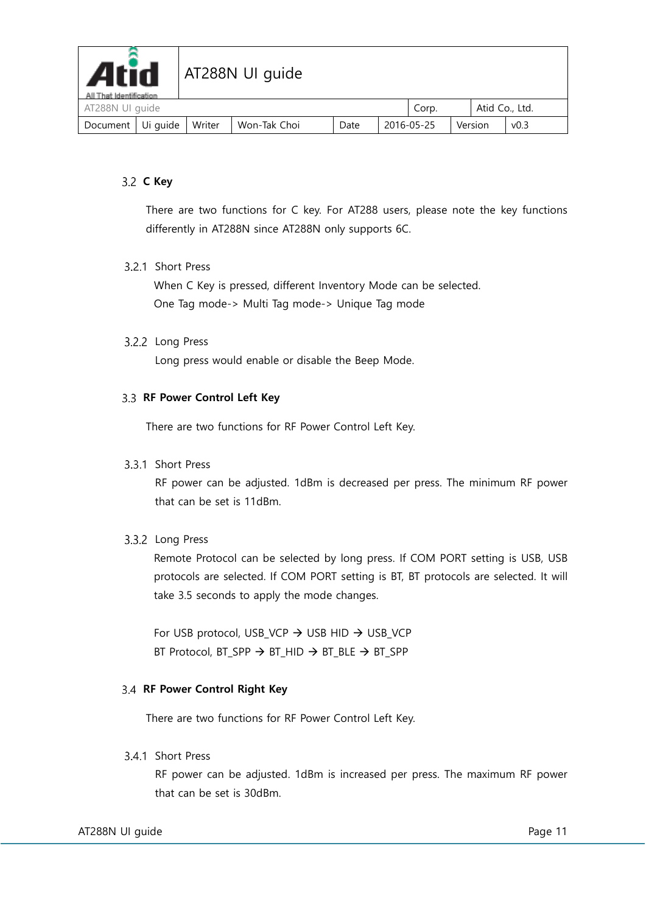

| AT288N UI guide   |  |        |              |      |            | Corp. |  | Atid Co., Ltd. |                  |  |
|-------------------|--|--------|--------------|------|------------|-------|--|----------------|------------------|--|
| Document Ui quide |  | Writer | Won-Tak Choi | Date | 2016-05-25 |       |  | Version        | v <sub>0.3</sub> |  |

#### <span id="page-10-0"></span>**C Key**

There are two functions for C key. For AT288 users, please note the key functions differently in AT288N since AT288N only supports 6C.

#### 3.2.1 Short Press

When C Key is pressed, different Inventory Mode can be selected. One Tag mode-> Multi Tag mode-> Unique Tag mode

#### 3.2.2 Long Press

Long press would enable or disable the Beep Mode.

#### <span id="page-10-1"></span>**RF Power Control Left Key**

There are two functions for RF Power Control Left Key.

#### 3.3.1 Short Press

RF power can be adjusted. 1dBm is decreased per press. The minimum RF power that can be set is 11dBm.

#### 3.3.2 Long Press

Remote Protocol can be selected by long press. If COM PORT setting is USB, USB protocols are selected. If COM PORT setting is BT, BT protocols are selected. It will take 3.5 seconds to apply the mode changes.

For USB protocol, USB VCP  $\rightarrow$  USB HID  $\rightarrow$  USB VCP BT Protocol, BT SPP  $\rightarrow$  BT HID  $\rightarrow$  BT BLE  $\rightarrow$  BT SPP

#### <span id="page-10-2"></span>**RF Power Control Right Key**

There are two functions for RF Power Control Left Key.

#### 3.4.1 Short Press

RF power can be adjusted. 1dBm is increased per press. The maximum RF power that can be set is 30dBm.